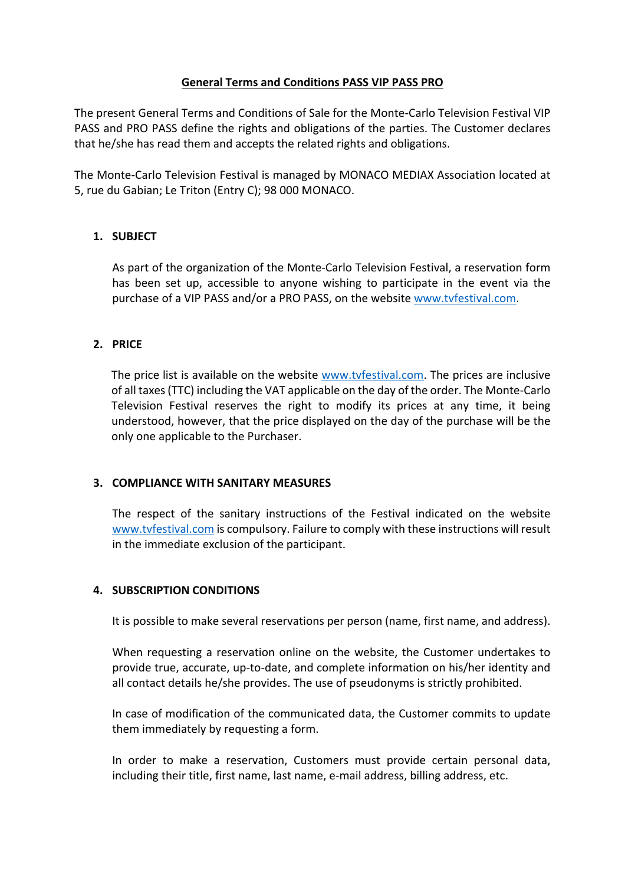## **General Terms and Conditions PASS VIP PASS PRO**

The present General Terms and Conditions of Sale for the Monte-Carlo Television Festival VIP PASS and PRO PASS define the rights and obligations of the parties. The Customer declares that he/she has read them and accepts the related rights and obligations.

The Monte-Carlo Television Festival is managed by MONACO MEDIAX Association located at 5, rue du Gabian; Le Triton (Entry C); 98 000 MONACO.

# **1. SUBJECT**

As part of the organization of the Monte-Carlo Television Festival, a reservation form has been set up, accessible to anyone wishing to participate in the event via the purchase of a VIP PASS and/or a PRO PASS, on the website www.tvfestival.com.

# **2. PRICE**

The price list is available on the website www.tvfestival.com. The prices are inclusive of all taxes (TTC) including the VAT applicable on the day of the order. The Monte-Carlo Television Festival reserves the right to modify its prices at any time, it being understood, however, that the price displayed on the day of the purchase will be the only one applicable to the Purchaser.

### **3. COMPLIANCE WITH SANITARY MEASURES**

The respect of the sanitary instructions of the Festival indicated on the website www.tvfestival.com is compulsory. Failure to comply with these instructions will result in the immediate exclusion of the participant.

### **4. SUBSCRIPTION CONDITIONS**

It is possible to make several reservations per person (name, first name, and address).

When requesting a reservation online on the website, the Customer undertakes to provide true, accurate, up-to-date, and complete information on his/her identity and all contact details he/she provides. The use of pseudonyms is strictly prohibited.

In case of modification of the communicated data, the Customer commits to update them immediately by requesting a form.

In order to make a reservation, Customers must provide certain personal data, including their title, first name, last name, e-mail address, billing address, etc.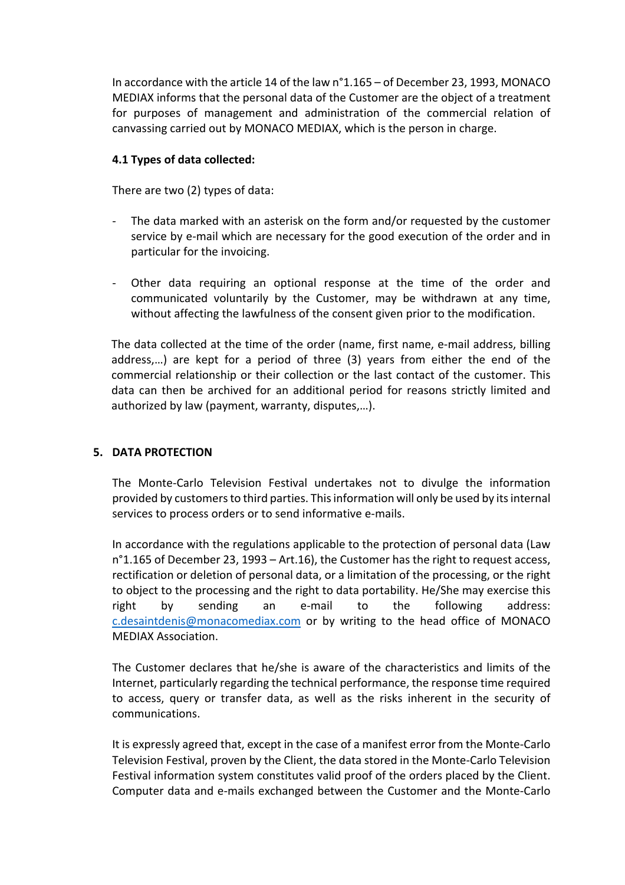In accordance with the article 14 of the law n°1.165 – of December 23, 1993, MONACO MEDIAX informs that the personal data of the Customer are the object of a treatment for purposes of management and administration of the commercial relation of canvassing carried out by MONACO MEDIAX, which is the person in charge.

# **4.1 Types of data collected:**

There are two (2) types of data:

- The data marked with an asterisk on the form and/or requested by the customer service by e-mail which are necessary for the good execution of the order and in particular for the invoicing.
- Other data requiring an optional response at the time of the order and communicated voluntarily by the Customer, may be withdrawn at any time, without affecting the lawfulness of the consent given prior to the modification.

The data collected at the time of the order (name, first name, e-mail address, billing address,…) are kept for a period of three (3) years from either the end of the commercial relationship or their collection or the last contact of the customer. This data can then be archived for an additional period for reasons strictly limited and authorized by law (payment, warranty, disputes,…).

# **5. DATA PROTECTION**

The Monte-Carlo Television Festival undertakes not to divulge the information provided by customers to third parties. This information will only be used by its internal services to process orders or to send informative e-mails.

In accordance with the regulations applicable to the protection of personal data (Law n°1.165 of December 23, 1993 – Art.16), the Customer has the right to request access, rectification or deletion of personal data, or a limitation of the processing, or the right to object to the processing and the right to data portability. He/She may exercise this right by sending an e-mail to the following address: c.desaintdenis@monacomediax.com or by writing to the head office of MONACO MEDIAX Association.

The Customer declares that he/she is aware of the characteristics and limits of the Internet, particularly regarding the technical performance, the response time required to access, query or transfer data, as well as the risks inherent in the security of communications.

It is expressly agreed that, except in the case of a manifest error from the Monte-Carlo Television Festival, proven by the Client, the data stored in the Monte-Carlo Television Festival information system constitutes valid proof of the orders placed by the Client. Computer data and e-mails exchanged between the Customer and the Monte-Carlo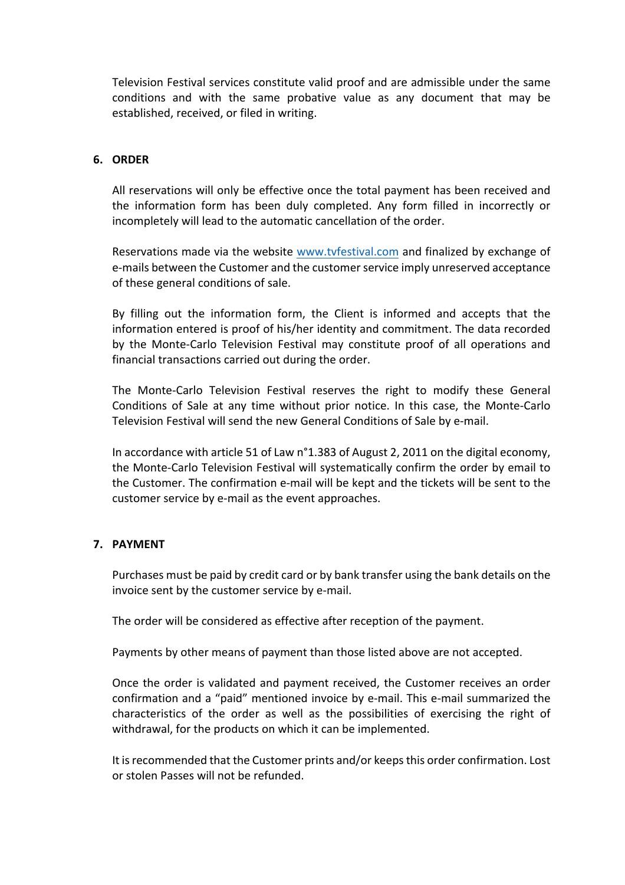Television Festival services constitute valid proof and are admissible under the same conditions and with the same probative value as any document that may be established, received, or filed in writing.

### **6. ORDER**

All reservations will only be effective once the total payment has been received and the information form has been duly completed. Any form filled in incorrectly or incompletely will lead to the automatic cancellation of the order.

Reservations made via the website www.tvfestival.com and finalized by exchange of e-mails between the Customer and the customer service imply unreserved acceptance of these general conditions of sale.

By filling out the information form, the Client is informed and accepts that the information entered is proof of his/her identity and commitment. The data recorded by the Monte-Carlo Television Festival may constitute proof of all operations and financial transactions carried out during the order.

The Monte-Carlo Television Festival reserves the right to modify these General Conditions of Sale at any time without prior notice. In this case, the Monte-Carlo Television Festival will send the new General Conditions of Sale by e-mail.

In accordance with article 51 of Law n°1.383 of August 2, 2011 on the digital economy, the Monte-Carlo Television Festival will systematically confirm the order by email to the Customer. The confirmation e-mail will be kept and the tickets will be sent to the customer service by e-mail as the event approaches.

# **7. PAYMENT**

Purchases must be paid by credit card or by bank transfer using the bank details on the invoice sent by the customer service by e-mail.

The order will be considered as effective after reception of the payment.

Payments by other means of payment than those listed above are not accepted.

Once the order is validated and payment received, the Customer receives an order confirmation and a "paid" mentioned invoice by e-mail. This e-mail summarized the characteristics of the order as well as the possibilities of exercising the right of withdrawal, for the products on which it can be implemented.

It is recommended that the Customer prints and/or keeps this order confirmation. Lost or stolen Passes will not be refunded.